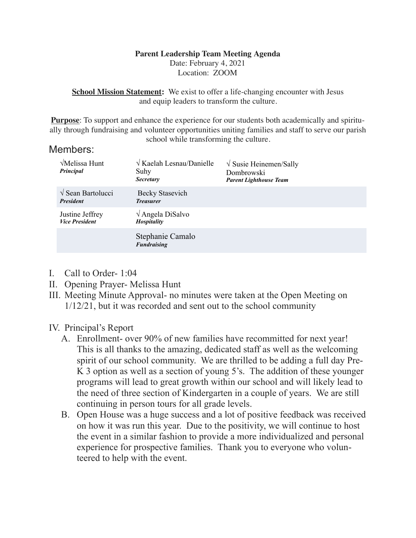### **Parent Leadership Team Meeting Agenda**

Date: February 4, 2021 Location: ZOOM

**School Mission Statement:** We exist to offer a life-changing encounter with Jesus and equip leaders to transform the culture.

**Purpose**: To support and enhance the experience for our students both academically and spiritually through fundraising and volunteer opportunities uniting families and staff to serve our parish school while transforming the culture.

### Members:

| $\sqrt{\text{Melissa Hunt}}$<br>Principal           | $\sqrt{K$ aelah Lesnau/Danielle<br>Suhy<br><b>Secretary</b> | $\sqrt{\text{S} }$ Susie Heinemen/Sally<br>Dombrowski<br><b>Parent Lighthouse Team</b> |
|-----------------------------------------------------|-------------------------------------------------------------|----------------------------------------------------------------------------------------|
| $\sqrt{\text{Sean Bartolucci}}$<br><b>President</b> | Becky Stasevich<br><b>Treasurer</b>                         |                                                                                        |
| Justine Jeffrey<br><b>Vice President</b>            | $\sqrt{\text{Angle}}$ DiSalvo<br>Hospitality                |                                                                                        |
|                                                     | Stephanie Camalo<br><b>Fundraising</b>                      |                                                                                        |

- I. Call to Order- 1:04
- II. Opening Prayer- Melissa Hunt
- III. Meeting Minute Approval- no minutes were taken at the Open Meeting on 1/12/21, but it was recorded and sent out to the school community

# IV. Principal's Report

- A. Enrollment- over 90% of new families have recommitted for next year! This is all thanks to the amazing, dedicated staff as well as the welcoming spirit of our school community. We are thrilled to be adding a full day Pre-K 3 option as well as a section of young 5's. The addition of these younger programs will lead to great growth within our school and will likely lead to the need of three section of Kindergarten in a couple of years. We are still continuing in person tours for all grade levels.
- B. Open House was a huge success and a lot of positive feedback was received on how it was run this year. Due to the positivity, we will continue to host the event in a similar fashion to provide a more individualized and personal experience for prospective families. Thank you to everyone who volunteered to help with the event.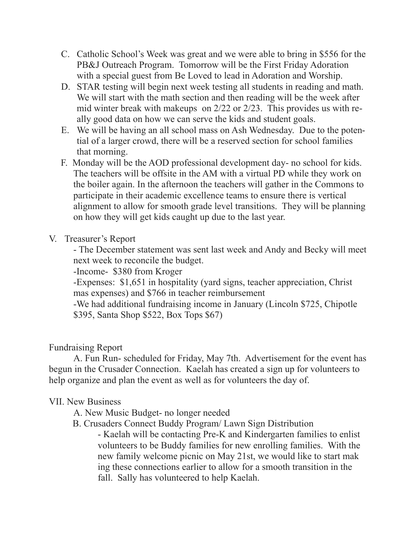- C. Catholic School's Week was great and we were able to bring in \$556 for the PB&J Outreach Program. Tomorrow will be the First Friday Adoration with a special guest from Be Loved to lead in Adoration and Worship.
- D. STAR testing will begin next week testing all students in reading and math. We will start with the math section and then reading will be the week after mid winter break with makeups on 2/22 or 2/23. This provides us with really good data on how we can serve the kids and student goals.
- E. We will be having an all school mass on Ash Wednesday. Due to the potential of a larger crowd, there will be a reserved section for school families that morning.
- F. Monday will be the AOD professional development day- no school for kids. The teachers will be offsite in the AM with a virtual PD while they work on the boiler again. In the afternoon the teachers will gather in the Commons to participate in their academic excellence teams to ensure there is vertical alignment to allow for smooth grade level transitions. They will be planning on how they will get kids caught up due to the last year.
- V. Treasurer's Report

 - The December statement was sent last week and Andy and Becky will meet next week to reconcile the budget.

-Income- \$380 from Kroger

 -Expenses: \$1,651 in hospitality (yard signs, teacher appreciation, Christ mas expenses) and \$766 in teacher reimbursement

 -We had additional fundraising income in January (Lincoln \$725, Chipotle \$395, Santa Shop \$522, Box Tops \$67)

# Fundraising Report

 A. Fun Run- scheduled for Friday, May 7th. Advertisement for the event has begun in the Crusader Connection. Kaelah has created a sign up for volunteers to help organize and plan the event as well as for volunteers the day of.

# VII. New Business

A. New Music Budget- no longer needed

B. Crusaders Connect Buddy Program/ Lawn Sign Distribution

 - Kaelah will be contacting Pre-K and Kindergarten families to enlist volunteers to be Buddy families for new enrolling families. With the new family welcome picnic on May 21st, we would like to start mak ing these connections earlier to allow for a smooth transition in the fall. Sally has volunteered to help Kaelah.